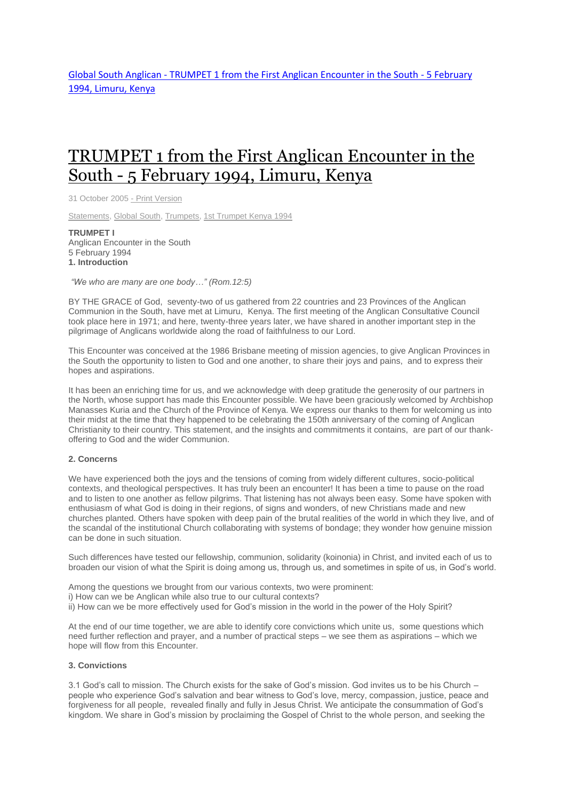# [TRUMPET](http://www.globalsouthanglican.org/index.php/blog/comments/trumpet_1_from_the_first_anglican_encounter_in_the_south_5_february_1994_li) 1 from the First Anglican Encounter in the South - 5 [February](http://www.globalsouthanglican.org/index.php/blog/comments/trumpet_1_from_the_first_anglican_encounter_in_the_south_5_february_1994_li) 1994, Limuru, Kenya

31 October 2005 - Print [Version](http://globalsouthanglican.org/index.php/blog/printing/trumpet_1_from_the_first_anglican_encounter_in_the_south_5_february_1994_li)

[Statements,](http://globalsouthanglican.org/index.php/archives/category/statements) [Global](http://globalsouthanglican.org/index.php/archives/category/global_south) South, [Trumpets,](http://globalsouthanglican.org/index.php/archives/category/trumpets) 1st [Trumpet](http://globalsouthanglican.org/index.php/archives/category/1st_trumpet_kenya_1994) Kenya 1994

**TRUMPET I** Anglican Encounter in the South 5 February 1994 **1. Introduction**

*"We who are many are one body…" (Rom.12:5)*

BY THE GRACE of God, seventy-two of us gathered from 22 countries and 23 Provinces of the Anglican Communion in the South, have met at Limuru, Kenya. The first meeting of the Anglican Consultative Council took place here in 1971; and here, twenty-three years later, we have shared in another important step in the pilgrimage of Anglicans worldwide along the road of faithfulness to our Lord.

This Encounter was conceived at the 1986 Brisbane meeting of mission agencies, to give Anglican Provinces in the South the opportunity to listen to God and one another, to share their joys and pains, and to express their hopes and aspirations.

It has been an enriching time for us, and we acknowledge with deep gratitude the generosity of our partners in the North, whose support has made this Encounter possible. We have been graciously welcomed by Archbishop Manasses Kuria and the Church of the Province of Kenya. We express our thanks to them for welcoming us into their midst at the time that they happened to be celebrating the 150th anniversary of the coming of Anglican Christianity to their country. This statement, and the insights and commitments it contains, are part of our thankoffering to God and the wider Communion.

### **2. Concerns**

We have experienced both the joys and the tensions of coming from widely different cultures, socio-political contexts, and theological perspectives. It has truly been an encounter! It has been a time to pause on the road and to listen to one another as fellow pilgrims. That listening has not always been easy. Some have spoken with enthusiasm of what God is doing in their regions, of signs and wonders, of new Christians made and new churches planted. Others have spoken with deep pain of the brutal realities of the world in which they live, and of the scandal of the institutional Church collaborating with systems of bondage; they wonder how genuine mission can be done in such situation.

Such differences have tested our fellowship, communion, solidarity (koinonia) in Christ, and invited each of us to broaden our vision of what the Spirit is doing among us, through us, and sometimes in spite of us, in God's world.

Among the questions we brought from our various contexts, two were prominent:

i) How can we be Anglican while also true to our cultural contexts?

ii) How can we be more effectively used for God's mission in the world in the power of the Holy Spirit?

At the end of our time together, we are able to identify core convictions which unite us, some questions which need further reflection and prayer, and a number of practical steps – we see them as aspirations – which we hope will flow from this Encounter.

## **3. Convictions**

3.1 God's call to mission. The Church exists for the sake of God's mission. God invites us to be his Church – people who experience God's salvation and bear witness to God's love, mercy, compassion, justice, peace and forgiveness for all people, revealed finally and fully in Jesus Christ. We anticipate the consummation of God's kingdom. We share in God's mission by proclaiming the Gospel of Christ to the whole person, and seeking the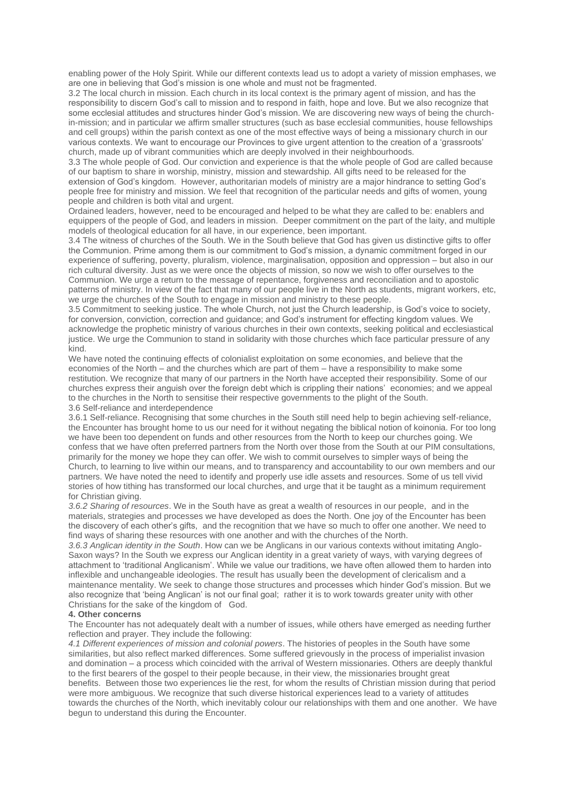enabling power of the Holy Spirit. While our different contexts lead us to adopt a variety of mission emphases, we are one in believing that God's mission is one whole and must not be fragmented.

3.2 The local church in mission. Each church in its local context is the primary agent of mission, and has the responsibility to discern God's call to mission and to respond in faith, hope and love. But we also recognize that some ecclesial attitudes and structures hinder God's mission. We are discovering new ways of being the churchin-mission; and in particular we affirm smaller structures (such as base ecclesial communities, house fellowships and cell groups) within the parish context as one of the most effective ways of being a missionary church in our various contexts. We want to encourage our Provinces to give urgent attention to the creation of a 'grassroots' church, made up of vibrant communities which are deeply involved in their neighbourhoods.

3.3 The whole people of God. Our conviction and experience is that the whole people of God are called because of our baptism to share in worship, ministry, mission and stewardship. All gifts need to be released for the extension of God's kingdom. However, authoritarian models of ministry are a major hindrance to setting God's people free for ministry and mission. We feel that recognition of the particular needs and gifts of women, young people and children is both vital and urgent.

Ordained leaders, however, need to be encouraged and helped to be what they are called to be: enablers and equippers of the people of God, and leaders in mission. Deeper commitment on the part of the laity, and multiple models of theological education for all have, in our experience, been important.

3.4 The witness of churches of the South. We in the South believe that God has given us distinctive gifts to offer the Communion. Prime among them is our commitment to God's mission, a dynamic commitment forged in our experience of suffering, poverty, pluralism, violence, marginalisation, opposition and oppression – but also in our rich cultural diversity. Just as we were once the objects of mission, so now we wish to offer ourselves to the Communion. We urge a return to the message of repentance, forgiveness and reconciliation and to apostolic patterns of ministry. In view of the fact that many of our people live in the North as students, migrant workers, etc, we urge the churches of the South to engage in mission and ministry to these people.

3.5 Commitment to seeking justice. The whole Church, not just the Church leadership, is God's voice to society, for conversion, conviction, correction and guidance; and God's instrument for effecting kingdom values. We acknowledge the prophetic ministry of various churches in their own contexts, seeking political and ecclesiastical justice. We urge the Communion to stand in solidarity with those churches which face particular pressure of any kind.

We have noted the continuing effects of colonialist exploitation on some economies, and believe that the economies of the North – and the churches which are part of them – have a responsibility to make some restitution. We recognize that many of our partners in the North have accepted their responsibility. Some of our churches express their anguish over the foreign debt which is crippling their nations' economies; and we appeal to the churches in the North to sensitise their respective governments to the plight of the South. 3.6 Self-reliance and interdependence

3.6.1 Self-reliance. Recognising that some churches in the South still need help to begin achieving self-reliance, the Encounter has brought home to us our need for it without negating the biblical notion of koinonia. For too long we have been too dependent on funds and other resources from the North to keep our churches going. We confess that we have often preferred partners from the North over those from the South at our PIM consultations, primarily for the money we hope they can offer. We wish to commit ourselves to simpler ways of being the Church, to learning to live within our means, and to transparency and accountability to our own members and our partners. We have noted the need to identify and properly use idle assets and resources. Some of us tell vivid stories of how tithing has transformed our local churches, and urge that it be taught as a minimum requirement for Christian giving.

*3.6.2 Sharing of resources*. We in the South have as great a wealth of resources in our people, and in the materials, strategies and processes we have developed as does the North. One joy of the Encounter has been the discovery of each other's gifts, and the recognition that we have so much to offer one another. We need to find ways of sharing these resources with one another and with the churches of the North.

*3.6.3 Anglican identity in the South*. How can we be Anglicans in our various contexts without imitating Anglo-Saxon ways? In the South we express our Anglican identity in a great variety of ways, with varying degrees of attachment to 'traditional Anglicanism'. While we value our traditions, we have often allowed them to harden into inflexible and unchangeable ideologies. The result has usually been the development of clericalism and a maintenance mentality. We seek to change those structures and processes which hinder God's mission. But we also recognize that 'being Anglican' is not our final goal; rather it is to work towards greater unity with other Christians for the sake of the kingdom of God.

#### **4. Other concerns**

The Encounter has not adequately dealt with a number of issues, while others have emerged as needing further reflection and prayer. They include the following:

*4.1 Different experiences of mission and colonial powers*. The histories of peoples in the South have some similarities, but also reflect marked differences. Some suffered grievously in the process of imperialist invasion and domination – a process which coincided with the arrival of Western missionaries. Others are deeply thankful to the first bearers of the gospel to their people because, in their view, the missionaries brought great benefits. Between those two experiences lie the rest, for whom the results of Christian mission during that period were more ambiguous. We recognize that such diverse historical experiences lead to a variety of attitudes towards the churches of the North, which inevitably colour our relationships with them and one another. We have begun to understand this during the Encounter.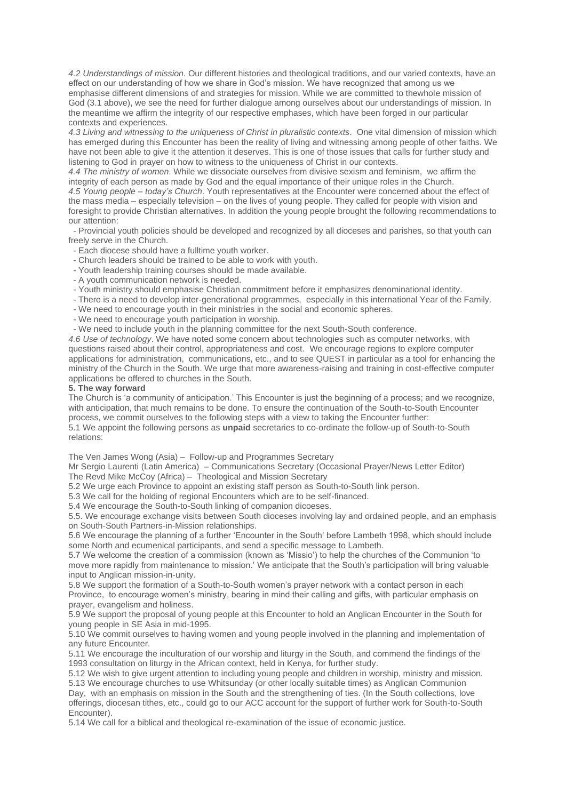*4.2 Understandings of mission*. Our different histories and theological traditions, and our varied contexts, have an effect on our understanding of how we share in God's mission. We have recognized that among us we emphasise different dimensions of and strategies for mission. While we are committed to thewhole mission of God (3.1 above), we see the need for further dialogue among ourselves about our understandings of mission. In the meantime we affirm the integrity of our respective emphases, which have been forged in our particular contexts and experiences.

*4.3 Living and witnessing to the uniqueness of Christ in pluralistic contexts*. One vital dimension of mission which has emerged during this Encounter has been the reality of living and witnessing among people of other faiths. We have not been able to give it the attention it deserves. This is one of those issues that calls for further study and listening to God in prayer on how to witness to the uniqueness of Christ in our contexts.

*4.4 The ministry of women*. While we dissociate ourselves from divisive sexism and feminism, we affirm the integrity of each person as made by God and the equal importance of their unique roles in the Church. *4.5 Young people – today's Church*. Youth representatives at the Encounter were concerned about the effect of the mass media – especially television – on the lives of young people. They called for people with vision and foresight to provide Christian alternatives. In addition the young people brought the following recommendations to our attention:

- Provincial youth policies should be developed and recognized by all dioceses and parishes, so that youth can freely serve in the Church.

- Each diocese should have a fulltime youth worker.
- Church leaders should be trained to be able to work with youth.
- Youth leadership training courses should be made available.
- A youth communication network is needed.
- Youth ministry should emphasise Christian commitment before it emphasizes denominational identity.
- There is a need to develop inter-generational programmes, especially in this international Year of the Family.
- We need to encourage youth in their ministries in the social and economic spheres.
- We need to encourage youth participation in worship.
- We need to include youth in the planning committee for the next South-South conference.

*4.6 Use of technology*. We have noted some concern about technologies such as computer networks, with questions raised about their control, appropriateness and cost. We encourage regions to explore computer applications for administration, communications, etc., and to see QUEST in particular as a tool for enhancing the ministry of the Church in the South. We urge that more awareness-raising and training in cost-effective computer applications be offered to churches in the South.

#### **5. The way forward**

The Church is 'a community of anticipation.' This Encounter is just the beginning of a process; and we recognize, with anticipation, that much remains to be done. To ensure the continuation of the South-to-South Encounter process, we commit ourselves to the following steps with a view to taking the Encounter further: 5.1 We appoint the following persons as **unpaid** secretaries to co-ordinate the follow-up of South-to-South relations:

The Ven James Wong (Asia) – Follow-up and Programmes Secretary

Mr Sergio Laurenti (Latin America) – Communications Secretary (Occasional Prayer/News Letter Editor) The Revd Mike McCoy (Africa) – Theological and Mission Secretary

5.2 We urge each Province to appoint an existing staff person as South-to-South link person.

5.3 We call for the holding of regional Encounters which are to be self-financed.

5.4 We encourage the South-to-South linking of companion dicoeses.

5.5. We encourage exchange visits between South dioceses involving lay and ordained people, and an emphasis on South-South Partners-in-Mission relationships.

5.6 We encourage the planning of a further 'Encounter in the South' before Lambeth 1998, which should include some North and ecumenical participants, and send a specific message to Lambeth.

5.7 We welcome the creation of a commission (known as 'Missio') to help the churches of the Communion 'to move more rapidly from maintenance to mission.' We anticipate that the South's participation will bring valuable input to Anglican mission-in-unity.

5.8 We support the formation of a South-to-South women's prayer network with a contact person in each Province, to encourage women's ministry, bearing in mind their calling and gifts, with particular emphasis on prayer, evangelism and holiness.

5.9 We support the proposal of young people at this Encounter to hold an Anglican Encounter in the South for young people in SE Asia in mid-1995.

5.10 We commit ourselves to having women and young people involved in the planning and implementation of any future Encounter.

5.11 We encourage the inculturation of our worship and liturgy in the South, and commend the findings of the 1993 consultation on liturgy in the African context, held in Kenya, for further study.

5.12 We wish to give urgent attention to including young people and children in worship, ministry and mission. 5.13 We encourage churches to use Whitsunday (or other locally suitable times) as Anglican Communion

Day, with an emphasis on mission in the South and the strengthening of ties. (In the South collections, love offerings, diocesan tithes, etc., could go to our ACC account for the support of further work for South-to-South Encounter).

5.14 We call for a biblical and theological re-examination of the issue of economic justice.